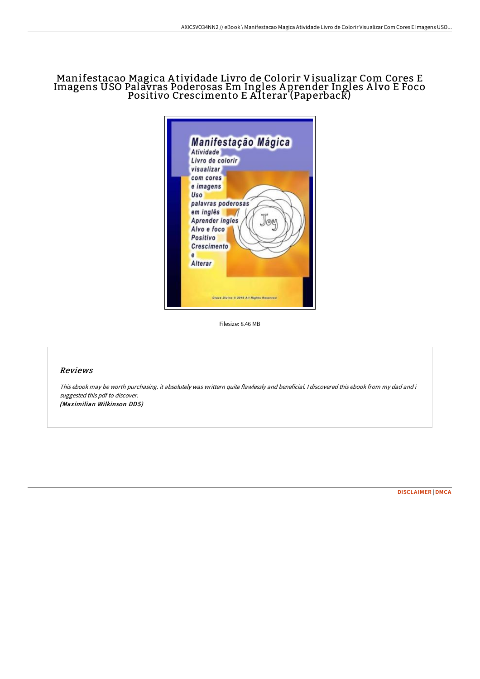# Manifestacao Magica A tividade Livro de Colorir Visualizar Com Cores E Imagens USO Palavras Poderosas Em Ingles A prender Ingles A lvo E Foco Positivo Crescimento E Alterar (Paperback)

| Atividade<br>Livro de colorir<br>visualizar<br>com cores                      | Manifestação Mágica |  |
|-------------------------------------------------------------------------------|---------------------|--|
| e imagens<br>Uso<br>palavras poderosas<br>em inglês<br><b>Aprender ingles</b> |                     |  |
| Alvo e foco<br>Positivo<br><b>Crescimento</b><br>e<br><b>Alterar</b>          |                     |  |

Filesize: 8.46 MB

### Reviews

This ebook may be worth purchasing. it absolutely was writtern quite flawlessly and beneficial. <sup>I</sup> discovered this ebook from my dad and i suggested this pdf to discover. (Maximilian Wilkinson DDS)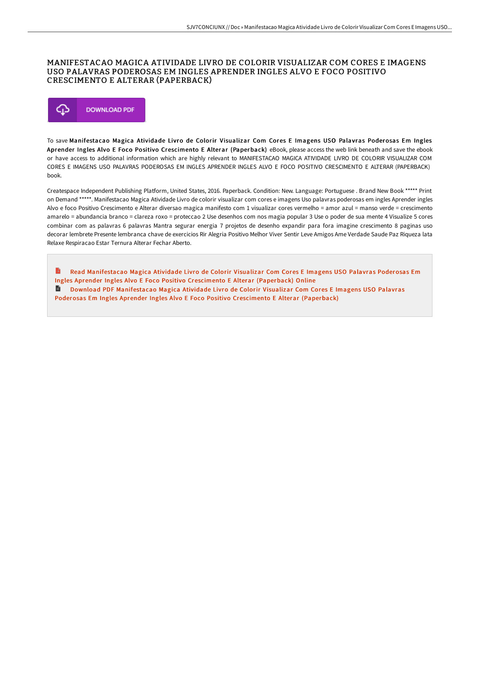#### MANIFESTACAO MAGICA ATIVIDADE LIVRO DE COLORIR VISUALIZAR COM CORES E IMAGENS USO PALAVRAS PODEROSAS EM INGLES APRENDER INGLES ALVO E FOCO POSITIVO CRESCIMENTO E ALTERAR (PAPERBACK)



To save Manifestacao Magica Atividade Livro de Colorir Visualizar Com Cores E Imagens USO Palavras Poderosas Em Ingles Aprender Ingles Alvo E Foco Positivo Crescimento E Alterar (Paperback) eBook, please access the web link beneath and save the ebook or have access to additional information which are highly relevant to MANIFESTACAO MAGICA ATIVIDADE LIVRO DE COLORIR VISUALIZAR COM CORES E IMAGENS USO PALAVRAS PODEROSAS EM INGLES APRENDER INGLES ALVO E FOCO POSITIVO CRESCIMENTO E ALTERAR (PAPERBACK) book.

Createspace Independent Publishing Platform, United States, 2016. Paperback. Condition: New. Language: Portuguese . Brand New Book \*\*\*\*\* Print on Demand \*\*\*\*\*. Manifestacao Magica Atividade Livro de colorir visualizar com cores e imagens Uso palavras poderosas em ingles Aprender ingles Alvo e foco Positivo Crescimento e Alterar diversao magica manifesto com 1 visualizar cores vermelho = amor azul = manso verde = crescimento amarelo = abundancia branco = clareza roxo = proteccao 2 Use desenhos com nos magia popular 3 Use o poder de sua mente 4 Visualize 5 cores combinar com as palavras 6 palavras Mantra segurar energia 7 projetos de desenho expandir para fora imagine crescimento 8 paginas uso decorar lembrete Presente lembranca chave de exercicios Rir Alegria Positivo Melhor Viver Sentir Leve Amigos Ame Verdade Saude Paz Riqueza lata Relaxe Respiracao Estar Ternura Alterar Fechar Aberto.

Read [Manifestacao](http://techno-pub.tech/manifestacao-magica-atividade-livro-de-colorir-v.html) Magica Atividade Livro de Colorir Visualizar Com Cores E Imagens USO Palavras Poderosas Em Ingles Aprender Ingles Alvo E Foco Positivo Crescimento E Alterar (Paperback) Online  $\blacksquare$ Download PDF [Manifestacao](http://techno-pub.tech/manifestacao-magica-atividade-livro-de-colorir-v.html) Magica Atividade Livro de Colorir Visualizar Com Cores E Imagens USO Palavras Poderosas Em Ingles Aprender Ingles Alvo E Foco Positivo Crescimento E Alterar (Paperback)